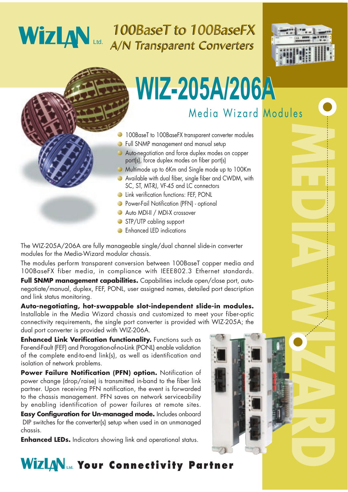#### Ltd. 100BaseT to 100BaseFX A/N Transparent Converters 100BaseT to 100BaseFX A/N Transparent Converters



# **WIZ-205A/206A WIZ-205A/206A**

## Media Wizard Modules

- **20 100BaseT to 100BaseFX transparent converter modules**
- **B** Full SNMP management and manual setup
- Auto-negotiation and force duplex modes on copper port(s), force duplex modes on fiber port(s)
- **Multimode up to 6Km and Single mode up to 100Km**
- **Available with dual fiber, single fiber and CWDM, with** SC, ST, MT-RJ, VF-45 and LC connectors
- **D** Link verification functions: FEF, PONL
- **Power-Fail Notification (PFN) optional**
- Auto MDI-II / MDI-X crossover
- STP/UTP cabling support
- **Enhanced LED indications**

The WIZ-205A/206A are fully manageable single/dual channel slide-in converter modules for the Media-Wizard modular chassis.

The modules perform transparent conversion between 100BaseT copper media and 100BaseFX fiber media, in compliance with IEEE802.3 Ethernet standards.

**Full SNMP management capabilities.** Capabilities include open/close port, autonegotiate/manual, duplex, FEF, PONL, user assigned names, detailed port description and link status monitoring.

**Auto-negotiating, hot-swappable slot-independent slide-in modules.** Installable in the Media Wizard chassis and customized to meet your fiber-optic connectivity requirements, the single port converter is provided with WIZ-205A; the dual port converter is provided with WIZ-206A.

**Enhanced Link Verification functionality.** Functions such as Far-end-Fault (FEF) and Prorogation-of-no-Link (PONL) enable validation of the complete end-to-end link(s), as well as identification and isolation of network problems.

**Power Failure Notification (PFN) option.** Notification of power change (drop/raise) is transmitted in-band to the fiber link partner. Upon receiving PFN notification, the event is forwarded to the chassis management. PFN saves on network serviceability by enabling identification of power failures at remote sites.

**Easy Configuration for Un-managed mode.** Includes onboard DIP switches for the converter(s) setup when used in an unmanaged chassis.

**Enhanced LEDs.** Indicators showing link and operational status.

## **WizLAN** and **Your Connectivity Partner**